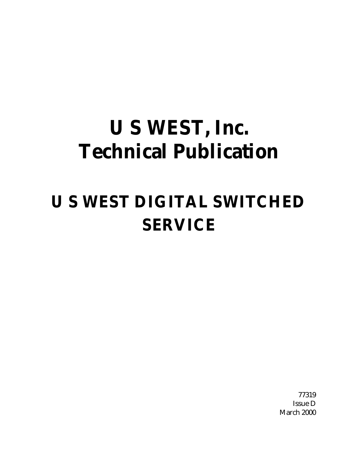# **U S WEST, Inc. Technical Publication**

# **U S WEST DIGITAL SWITCHED SERVICE**

77319 Issue D March 2000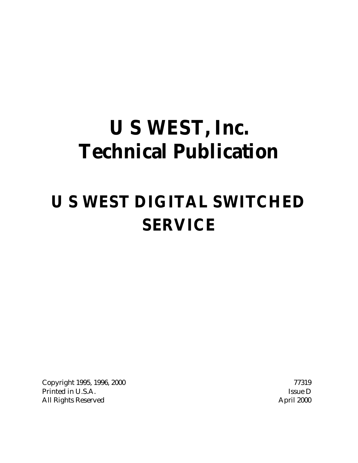# **U S WEST, Inc. Technical Publication**

# **U S WEST DIGITAL SWITCHED SERVICE**

Copyright 1995, 1996, 2000 77319 Printed in U.S.A. Issue D All Rights Reserved **April 2000**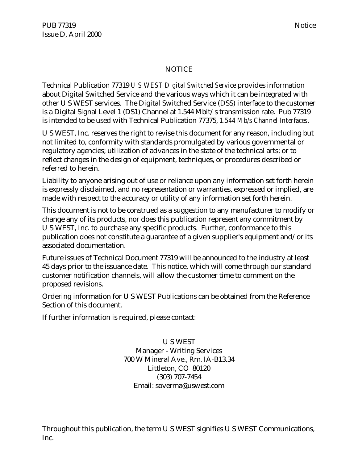PUB 77319 Notice Issue D, April 2000

# NOTICE

Technical Publication 77319 *U S WEST Digital Switched Service* provides information about Digital Switched Service and the various ways which it can be integrated with other U S WEST services. The Digital Switched Service (DSS) interface to the customer is a Digital Signal Level 1 (DS1) Channel at 1.544 Mbit/s transmission rate. Pub 77319 is intended to be used with Technical Publication 77375, *1.544 Mb/s Channel Interfaces*.

U S WEST, Inc. reserves the right to revise this document for any reason, including but not limited to, conformity with standards promulgated by various governmental or regulatory agencies; utilization of advances in the state of the technical arts; or to reflect changes in the design of equipment, techniques, or procedures described or referred to herein.

Liability to anyone arising out of use or reliance upon any information set forth herein is expressly disclaimed, and no representation or warranties, expressed or implied, are made with respect to the accuracy or utility of any information set forth herein.

This document is not to be construed as a suggestion to any manufacturer to modify or change any of its products, nor does this publication represent any commitment by U S WEST, Inc. to purchase any specific products. Further, conformance to this publication does not constitute a guarantee of a given supplier's equipment and/or its associated documentation.

Future issues of Technical Document 77319 will be announced to the industry at least 45 days prior to the issuance date. This notice, which will come through our standard customer notification channels, will allow the customer time to comment on the proposed revisions.

Ordering information for U S WEST Publications can be obtained from the Reference Section of this document.

If further information is required, please contact:

U S WEST Manager - Writing Services 700 W Mineral Ave., Rm. IA-B13.34 Littleton, CO 80120 (303) 707-7454 Email: soverma@uswest.com

Throughout this publication, the term U S WEST signifies U S WEST Communications, Inc.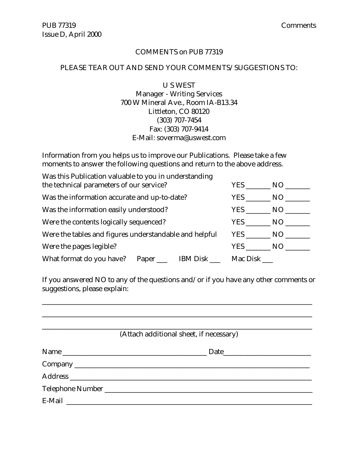#### COMMENTS on PUB 77319

#### PLEASE TEAR OUT AND SEND YOUR COMMENTS/SUGGESTIONS TO:

U S WEST

Manager - Writing Services 700 W Mineral Ave., Room IA-B13.34 Littleton, CO 80120 (303) 707-7454 Fax: (303) 707-9414 E-Mail: soverma@uswest.com

Information from you helps us to improve our Publications. Please take a few moments to answer the following questions and return to the above address.

| Was this Publication valuable to you in understanding  |        |     |          |        |
|--------------------------------------------------------|--------|-----|----------|--------|
| the technical parameters of our service?               |        | YES | NO       |        |
| Was the information accurate and up-to-date?           | YES NO |     |          |        |
| Was the information easily understood?                 |        |     |          | YES NO |
| Were the contents logically sequenced?                 |        |     | YES NO   |        |
| Were the tables and figures understandable and helpful |        |     | YES NO   |        |
| Were the pages legible?                                |        |     | YES      | NO.    |
| What format do you have? Paper ______ IBM Disk _____   |        |     | Mac Disk |        |

If you answered NO to any of the questions and/or if you have any other comments or suggestions, please explain:

\_\_\_\_\_\_\_\_\_\_\_\_\_\_\_\_\_\_\_\_\_\_\_\_\_\_\_\_\_\_\_\_\_\_\_\_\_\_\_\_\_\_\_\_\_\_\_\_\_\_\_\_\_\_\_\_\_\_\_\_\_\_\_\_\_\_\_\_\_\_\_\_\_\_\_\_\_

| (Attach additional sheet, if necessary) |
|-----------------------------------------|
|                                         |
|                                         |
|                                         |
|                                         |
|                                         |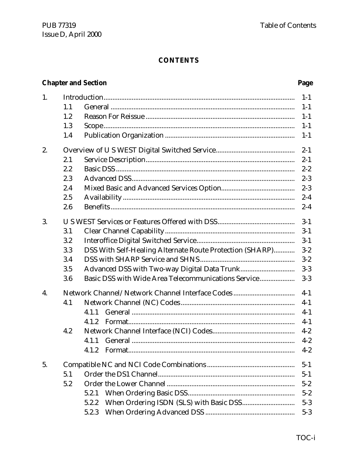# **Chapter and Section**

# Page

| 1. |     |                                                          | $1 - 1$ |
|----|-----|----------------------------------------------------------|---------|
|    | 1.1 |                                                          | $1 - 1$ |
|    | 1.2 |                                                          | $1-1$   |
|    | 1.3 |                                                          | $1 - 1$ |
|    | 1.4 |                                                          | $1 - 1$ |
| 2. |     |                                                          | $2 - 1$ |
|    | 2.1 |                                                          | $2 - 1$ |
|    | 2.2 |                                                          | $2 - 2$ |
|    | 2.3 |                                                          | $2 - 3$ |
|    | 2.4 |                                                          | $2 - 3$ |
|    | 2.5 |                                                          | $2 - 4$ |
|    | 2.6 |                                                          | $2 - 4$ |
| 3. |     |                                                          | $3 - 1$ |
|    | 3.1 |                                                          | $3 - 1$ |
|    | 3.2 |                                                          | $3-1$   |
|    | 3.3 | DSS With Self-Healing Alternate Route Protection (SHARP) | $3 - 2$ |
|    | 3.4 |                                                          | $3 - 2$ |
|    | 3.5 |                                                          | $3-3$   |
|    | 3.6 | Basic DSS with Wide Area Telecommunications Service      | $3-3$   |
| 4. |     |                                                          | $4-1$   |
|    | 4.1 |                                                          | $4 - 1$ |
|    |     | 4.1.1                                                    | $4-1$   |
|    |     | 4.1.2                                                    | $4-1$   |
|    | 4.2 |                                                          | $4 - 2$ |
|    |     | 4.1.1                                                    | $4 - 2$ |
|    |     |                                                          | $4 - 2$ |
| 5. |     |                                                          | $5 - 1$ |
|    | 5.1 |                                                          | $5 - 1$ |
|    | 5.2 |                                                          | $5 - 2$ |
|    |     |                                                          |         |
|    |     | 5.2.1                                                    | $5 - 2$ |
|    |     | 5.2.2                                                    | $5 - 3$ |
|    |     | 5.2.3                                                    | $5 - 3$ |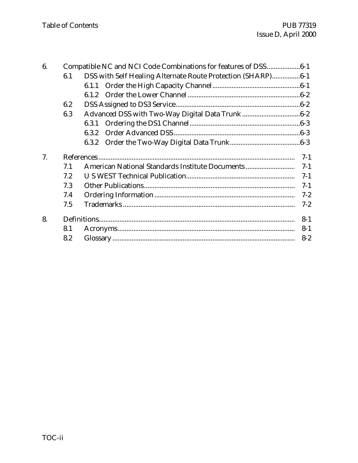| 6. |     | Compatible NC and NCI Code Combinations for features of DSS6-1 |         |
|----|-----|----------------------------------------------------------------|---------|
|    | 6.1 | DSS with Self Healing Alternate Route Protection (SHARP)6-1    |         |
|    |     |                                                                |         |
|    |     |                                                                |         |
|    | 6.2 |                                                                |         |
|    | 6.3 |                                                                |         |
|    |     | 6.3.1                                                          |         |
|    |     | 6.3.2                                                          |         |
|    |     | 6.3.2                                                          |         |
| 7. |     |                                                                | $7-1$   |
|    | 7.1 |                                                                | $7-1$   |
|    | 7.2 |                                                                | $7-1$   |
|    | 7.3 |                                                                | $7-1$   |
|    | 7.4 |                                                                | $7 - 2$ |
|    | 7.5 |                                                                | $7 - 2$ |
| 8. |     |                                                                | $8 - 1$ |
|    | 8.1 |                                                                | $8 - 1$ |
|    | 8.2 |                                                                | $8 - 2$ |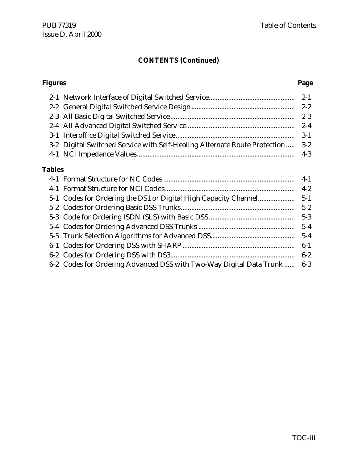# **CONTENTS (Continued)**

#### **Figures Page**

| 3-2 Digital Switched Service with Self-Healing Alternate Route Protection  3-2 |  |
|--------------------------------------------------------------------------------|--|
|                                                                                |  |

# **Tables**

|                                                                          | $6 - 2$ |
|--------------------------------------------------------------------------|---------|
| 6-2 Codes for Ordering Advanced DSS with Two-Way Digital Data Trunk  6-3 |         |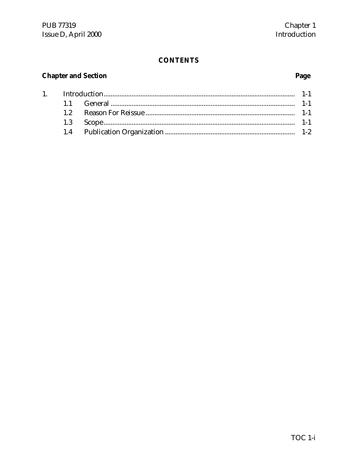# **Chapter and Section**

 $1.$ 

# Page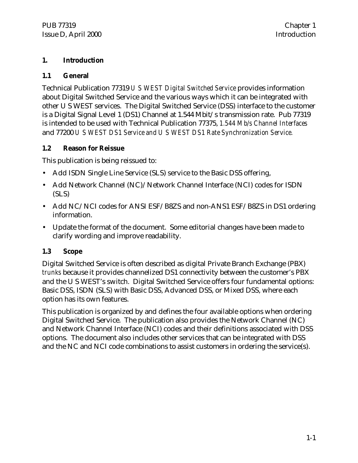# **1. Introduction**

# **1.1 General**

Technical Publication 77319 *U S WEST Digital Switched Service* provides information about Digital Switched Service and the various ways which it can be integrated with other U S WEST services. The Digital Switched Service (DSS) interface to the customer is a Digital Signal Level 1 (DS1) Channel at 1.544 Mbit/s transmission rate. Pub 77319 is intended to be used with Technical Publication 77375, *1.544 Mb/s Channel Interfaces* and 77200 *U S WEST DS1 Service and U S WEST DS1 Rate Synchronization Service.*

# **1.2 Reason for Reissue**

This publication is being reissued to:

- Add ISDN Single Line Service (SLS) service to the Basic DSS offering,
- Add Network Channel (NC)/Network Channel Interface (NCI) codes for ISDN (SLS)
- Add NC/NCI codes for ANSI ESF/B8ZS and non-ANS1 ESF/B8ZS in DS1 ordering information.
- Update the format of the document. Some editorial changes have been made to clarify wording and improve readability.

# **1.3 Scope**

Digital Switched Service is often described as digital Private Branch Exchange (PBX) *trunks* because it provides channelized DS1 connectivity between the customer's PBX and the U S WEST's switch. Digital Switched Service offers four fundamental options: Basic DSS, ISDN (SLS) with Basic DSS, Advanced DSS, or Mixed DSS, where each option has its own features.

This publication is organized by and defines the four available options when ordering Digital Switched Service. The publication also provides the Network Channel (NC) and Network Channel Interface (NCI) codes and their definitions associated with DSS options. The document also includes other services that can be integrated with DSS and the NC and NCI code combinations to assist customers in ordering the service(s).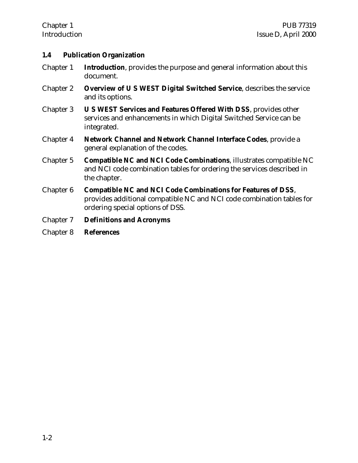#### **1.4 Publication Organization**

- Chapter 1 **Introduction**, provides the purpose and general information about this document.
- Chapter 2 **Overview of U S WEST Digital Switched Service**, describes the service and its options.
- Chapter 3 **U S WEST Services and Features Offered With DSS**, provides other services and enhancements in which Digital Switched Service can be integrated.
- Chapter 4 **Network Channel and Network Channel Interface Codes**, provide a general explanation of the codes.
- Chapter 5 **Compatible NC and NCI Code Combinations**, illustrates compatible NC and NCI code combination tables for ordering the services described in the chapter.
- Chapter 6 **Compatible NC and NCI Code Combinations for Features of DSS**, provides additional compatible NC and NCI code combination tables for ordering special options of DSS.
- Chapter 7 **Definitions and Acronyms**
- Chapter 8 **References**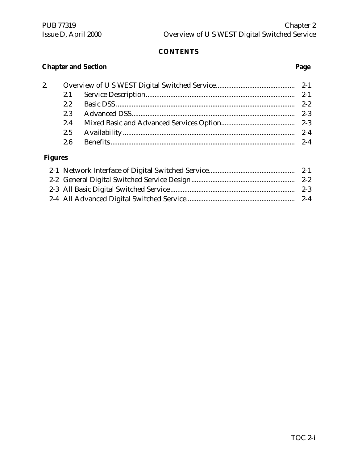# **Chapter and Section Page**

| 2. |     |         |
|----|-----|---------|
|    |     | $2 - 1$ |
|    |     |         |
|    | 2.3 | $2-3$   |
|    |     |         |
|    |     | $2 - 4$ |
|    |     | $2 - 4$ |
|    |     |         |

# **Figures**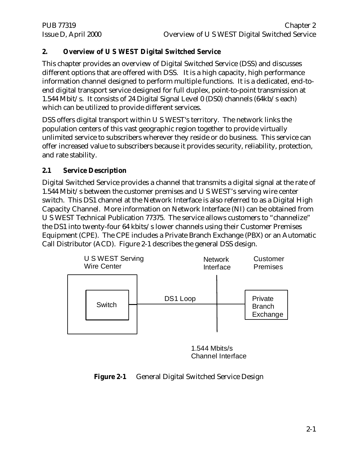# **2. Overview of U S WEST Digital Switched Service**

This chapter provides an overview of Digital Switched Service (DSS) and discusses different options that are offered with DSS. It is a high capacity, high performance information channel designed to perform multiple functions. It is a dedicated, end-toend digital transport service designed for full duplex, point-to-point transmission at 1.544 Mbit/s. It consists of 24 Digital Signal Level 0 (DS0) channels (64kb/s each) which can be utilized to provide different services.

DSS offers digital transport within U S WEST's territory. The network links the population centers of this vast geographic region together to provide virtually unlimited service to subscribers wherever they reside or do business. This service can offer increased value to subscribers because it provides security, reliability, protection, and rate stability.

# **2.1 Service Description**

Digital Switched Service provides a channel that transmits a digital signal at the rate of 1.544 Mbit/s between the customer premises and U S WEST's serving wire center switch. This DS1 channel at the Network Interface is also referred to as a Digital High Capacity Channel. More information on Network Interface (NI) can be obtained from U S WEST Technical Publication 77375. The service allows customers to "channelize" the DS1 into twenty-four 64 kbits/s lower channels using their Customer Premises Equipment (CPE). The CPE includes a Private Branch Exchange (PBX) or an Automatic Call Distributor (ACD). Figure 2-1 describes the general DSS design.



<sup>1.544</sup> Mbits/s Channel Interface

# **Figure 2-1** General Digital Switched Service Design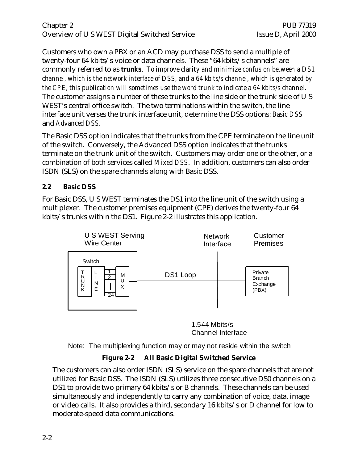# Chapter 2 PUB 77319 Overview of U S WEST Digital Switched Service Issue D, April 2000

Customers who own a PBX or an ACD may purchase DSS to send a multiple of twenty-four 64 kbits/s voice or data channels. These "64 kbits/s channels" are commonly referred to as *trunks*. *To improve clarity and minimize confusion between a DS1 channel, which is the network interface of DSS, and a 64 kbits/s channel, which is generated by the CPE, this publication will sometimes use the word trunk to indicate a 64 kbits/s channel*. The customer assigns a number of these trunks to the line side or the trunk side of U S WEST's central office switch. The two terminations within the switch, the line interface unit verses the trunk interface unit, determine the DSS options: *Basic DSS* and *Advanced DSS.*

The Basic DSS option indicates that the trunks from the CPE terminate on the line unit of the switch. Conversely, the Advanced DSS option indicates that the trunks terminate on the trunk unit of the switch. Customers may order one or the other, or a combination of both services called *Mixed DSS*. In addition, customers can also order ISDN (SLS) on the spare channels along with Basic DSS.

# **2.2 Basic DSS**

For Basic DSS, U S WEST terminates the DS1 into the line unit of the switch using a multiplexer. The customer premises equipment (CPE) derives the twenty-four 64 kbits/s trunks within the DS1. Figure 2-2 illustrates this application.



1.544 Mbits/s Channel Interface

Note: The multiplexing function may or may not reside within the switch

# **Figure 2-2 All Basic Digital Switched Service**

The customers can also order ISDN (SLS) service on the spare channels that are not utilized for Basic DSS. The ISDN (SLS) utilizes three consecutive DS0 channels on a DS1 to provide two primary 64 kbits/s or B channels. These channels can be used simultaneously and independently to carry any combination of voice, data, image or video calls. It also provides a third, secondary 16 kbits/s or D channel for low to moderate-speed data communications.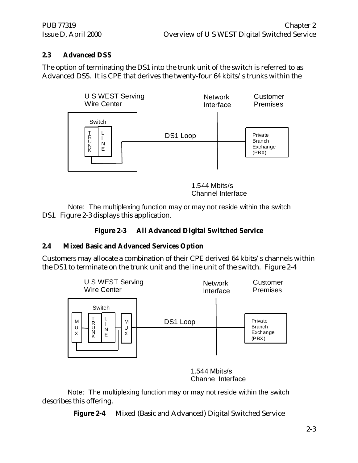# **2.3 Advanced DSS**

The option of terminating the DS1 into the trunk unit of the switch is referred to as Advanced DSS. It is CPE that derives the twenty-four 64 kbits/s trunks within the



1.544 Mbits/s Channel Interface

DS1. Figure 2-3 displays this application. Note: The multiplexing function may or may not reside within the switch

# **Figure 2-3 All Advanced Digital Switched Service**

# **2.4 Mixed Basic and Advanced Services Option**

Customers may allocate a combination of their CPE derived 64 kbits/s channels within the DS1 to terminate on the trunk unit and the line unit of the switch. Figure 2-4



1.544 Mbits/s Channel Interface

describes this offering. Note: The multiplexing function may or may not reside within the switch

**Figure 2-4** Mixed (Basic and Advanced) Digital Switched Service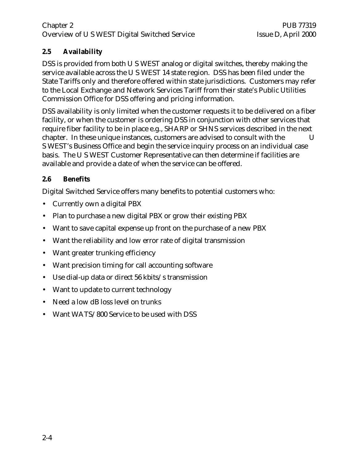# Chapter 2 PUB 77319 Overview of U S WEST Digital Switched Service Issue D, April 2000

# **2.5 Availability**

DSS is provided from both U S WEST analog or digital switches, thereby making the service available across the U S WEST 14 state region. DSS has been filed under the State Tariffs only and therefore offered within state jurisdictions. Customers may refer to the Local Exchange and Network Services Tariff from their state's Public Utilities Commission Office for DSS offering and pricing information.

DSS availability is only limited when the customer requests it to be delivered on a fiber facility, or when the customer is ordering DSS in conjunction with other services that require fiber facility to be in place e.g., SHARP or SHNS services described in the next chapter. In these unique instances, customers are advised to consult with the U S WEST's Business Office and begin the service inquiry process on an individual case basis. The U S WEST Customer Representative can then determine if facilities are available and provide a date of when the service can be offered.

# **2.6 Benefits**

Digital Switched Service offers many benefits to potential customers who:

- Currently own a digital PBX
- Plan to purchase a new digital PBX or grow their existing PBX
- Want to save capital expense up front on the purchase of a new PBX
- Want the reliability and low error rate of digital transmission
- Want greater trunking efficiency
- Want precision timing for call accounting software
- Use dial-up data or direct 56 kbits/s transmission
- Want to update to current technology
- Need a low dB loss level on trunks
- Want WATS/800 Service to be used with DSS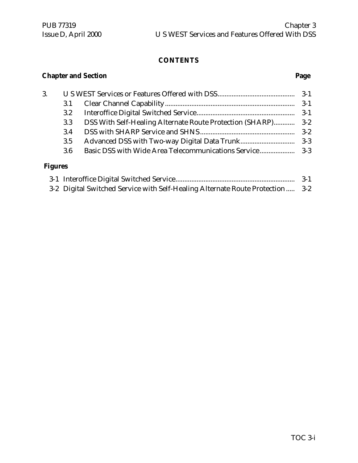# **Chapter and Section Page**

| 3.             |     |  |
|----------------|-----|--|
|                | 3.1 |  |
|                | 3.2 |  |
|                | 3.3 |  |
|                | 3.4 |  |
|                | 3.5 |  |
|                | 3.6 |  |
| <b>Figures</b> |     |  |

# **Figures**

|                                                                                | $3-1$ |
|--------------------------------------------------------------------------------|-------|
| 3-2 Digital Switched Service with Self-Healing Alternate Route Protection  3-2 |       |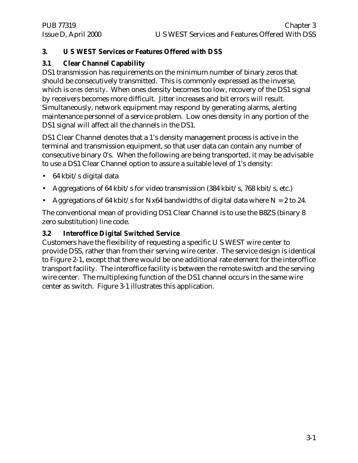# **3. U S WEST Services or Features Offered with DSS**

# **3.1 Clear Channel Capability**

DS1 transmission has requirements on the minimum number of binary zeros that should be consecutively transmitted. This is commonly expressed as the inverse, which is *ones density*. When ones density becomes too low, recovery of the DS1 signal by receivers becomes more difficult. Jitter increases and bit errors will result. Simultaneously, network equipment may respond by generating alarms, alerting maintenance personnel of a service problem. Low ones density in any portion of the DS1 signal will affect all the channels in the DS1.

DS1 Clear Channel denotes that a 1's density management process is active in the terminal and transmission equipment, so that user data can contain any number of consecutive binary 0's. When the following are being transported, it may be advisable to use a DS1 Clear Channel option to assure a suitable level of 1's density:

- 64 kbit/s digital data
- Aggregations of 64 kbit/s for video transmission (384 kbit/s, 768 kbit/s, etc.)
- Aggregations of 64 kbit/s for Nx64 bandwidths of digital data where  $N = 2$  to 24.

The conventional mean of providing DS1 Clear Channel is to use the B8ZS (binary 8 zero substitution) line code.

# **3.2 Interoffice Digital Switched Service**

Customers have the flexibility of requesting a specific U S WEST wire center to provide DSS, rather than from their serving wire center. The service design is identical to Figure 2-1, except that there would be one additional rate element for the interoffice transport facility. The interoffice facility is between the remote switch and the serving wire center. The multiplexing function of the DS1 channel occurs in the same wire center as switch. Figure 3-1 illustrates this application.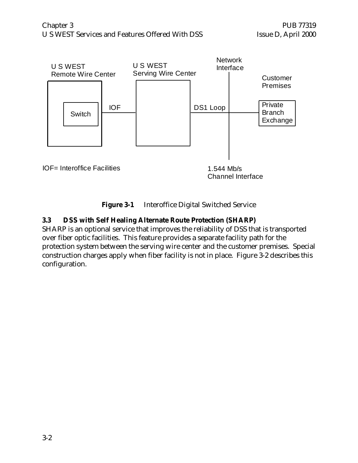

**Figure 3-1** Interoffice Digital Switched Service

# **3.3 DSS with Self Healing Alternate Route Protection (SHARP)**

SHARP is an optional service that improves the reliability of DSS that is transported over fiber optic facilities. This feature provides a separate facility path for the protection system between the serving wire center and the customer premises. Special construction charges apply when fiber facility is not in place. Figure 3-2 describes this configuration.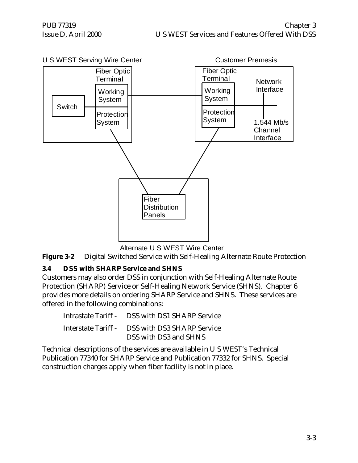

Alternate U S WEST Wire Center

**Figure 3-2** Digital Switched Service with Self-Healing Alternate Route Protection

# **3.4 DSS with SHARP Service and SHNS**

Customers may also order DSS in conjunction with Self-Healing Alternate Route Protection (SHARP) Service or Self-Healing Network Service (SHNS). Chapter 6 provides more details on ordering SHARP Service and SHNS. These services are offered in the following combinations:

| Intrastate Tariff - DSS with DS1 SHARP Service |
|------------------------------------------------|
| Interstate Tariff - DSS with DS3 SHARP Service |
| DSS with DS3 and SHNS                          |

Technical descriptions of the services are available in U S WEST's Technical Publication 77340 for SHARP Service and Publication 77332 for SHNS. Special construction charges apply when fiber facility is not in place.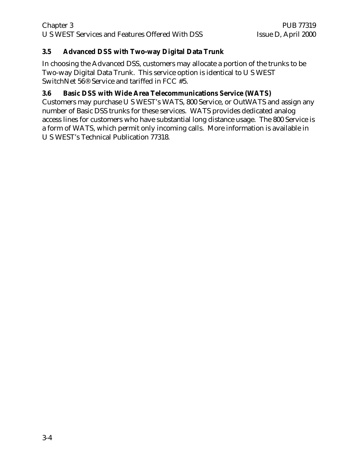# **3.5 Advanced DSS with Two-way Digital Data Trunk**

In choosing the Advanced DSS, customers may allocate a portion of the trunks to be Two-way Digital Data Trunk. This service option is identical to U S WEST SwitchNet 56® Service and tariffed in FCC #5.

# **3.6 Basic DSS with Wide Area Telecommunications Service (WATS)**

Customers may purchase U S WEST's WATS, 800 Service, or OutWATS and assign any number of Basic DSS trunks for these services. WATS provides dedicated analog access lines for customers who have substantial long distance usage. The 800 Service is a form of WATS, which permit only incoming calls. More information is available in U S WEST's Technical Publication 77318.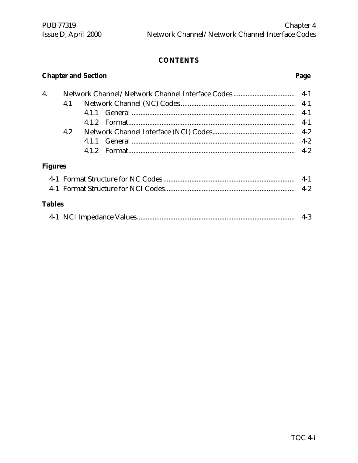# **Chapter and Section Page**

| 4.             |     |       |         |
|----------------|-----|-------|---------|
|                | 4.1 |       |         |
|                |     |       | $4-1$   |
|                |     |       | $4-1$   |
|                | 4.2 |       |         |
|                |     | 4 1 1 | $4 - 2$ |
|                |     | 412   | $4 - 2$ |
| <b>Figures</b> |     |       |         |
|                |     |       | $4-1$   |
|                |     |       |         |
| <b>Tables</b>  |     |       |         |

|  |  | $4-3$ |  |
|--|--|-------|--|
|--|--|-------|--|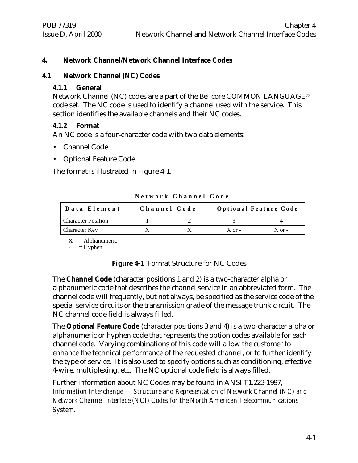# **4. Network Channel/Network Channel Interface Codes**

# **4.1 Network Channel (NC) Codes**

# **4.1.1 General**

Network Channel (NC) codes are a part of the Bellcore COMMON LANGUAGE® code set. The NC code is used to identify a channel used with the service. This section identifies the available channels and their NC codes.

# **4.1.2 Format**

An NC code is a four-character code with two data elements:

- Channel Code
- Optional Feature Code

The format is illustrated in Figure 4-1.

| Data Element              | Channel Code |            | <b>Optional Feature Code</b> |
|---------------------------|--------------|------------|------------------------------|
| <b>Character Position</b> |              |            |                              |
| <b>Character Key</b>      |              | $X$ or $-$ | $X$ or $-$                   |

**Network Channel Code**

 $X =$ Alphanumeric

 $=$  Hyphen

# **Figure 4-1** Format Structure for NC Codes

The **Channel Code** (character positions 1 and 2) is a two-character alpha or alphanumeric code that describes the channel service in an abbreviated form. The channel code will frequently, but not always, be specified as the service code of the special service circuits or the transmission grade of the message trunk circuit. The NC channel code field is always filled.

The **Optional Feature Code** (character positions 3 and 4) is a two-character alpha or alphanumeric or hyphen code that represents the option codes available for each channel code. Varying combinations of this code will allow the customer to enhance the technical performance of the requested channel, or to further identify the type of service. It is also used to specify options such as conditioning, effective 4-wire, multiplexing, etc. The NC optional code field is always filled.

Further information about NC Codes may be found in ANSI T1.223-1997, *Information Interchange — Structure and Representation of Network Channel (NC) and Network Channel Interface (NCI) Codes for the North American Telecommunications System.*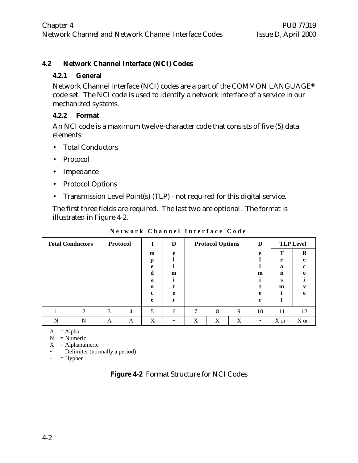# **4.2 Network Channel Interface (NCI) Codes**

#### **4.2.1 General**

Network Channel Interface (NCI) codes are a part of the COMMON LANGUAGE® code set. The NCI code is used to identify a network interface of a service in our mechanized systems.

# **4.2.2 Format**

An NCI code is a maximum twelve-character code that consists of five (5) data elements:

- Total Conductors
- Protocol
- Impedance
- Protocol Options
- Transmission Level Point(s) (TLP) not required for this digital service.

The first three fields are required. The last two are optional. The format is illustrated in Figure 4-2.

| <b>Total Conductors</b> |   |   | Protocol |                  | D |   | <b>Protocol Options</b> |   | D         |             | <b>TLP Level</b> |
|-------------------------|---|---|----------|------------------|---|---|-------------------------|---|-----------|-------------|------------------|
|                         |   |   |          | m                | e |   |                         |   | e         | Т           | $\bf{R}$         |
|                         |   |   |          | p<br>e           |   |   |                         |   |           | r<br>a      | e<br>c           |
|                         |   |   |          | d                | m |   |                         |   | m         | $\mathbf n$ | e                |
|                         |   |   |          | a<br>$\mathbf n$ |   |   |                         |   |           | s<br>m      |                  |
|                         |   |   |          | c                | e |   |                         |   | e         |             | e                |
|                         |   |   |          | e                | r |   |                         |   | r         |             |                  |
|                         | ↑ | 3 | 4        | 5                | 6 | 7 | 8                       | 9 | 10        | 11          | 12               |
| N                       | N | A | A        | X                |   | X | X                       | X | $\bullet$ | $X$ or -    | $X$ or -         |

**Network Channel Interface Code**

 $A = Alpha$ 

 $N =$  Numeric

 $X = Alphantumeric$ 

- $\bullet$  = Delimiter (normally a period)
- $-$  = Hyphen

|  | Figure 4-2 Format Structure for NCI Codes |  |  |  |
|--|-------------------------------------------|--|--|--|
|--|-------------------------------------------|--|--|--|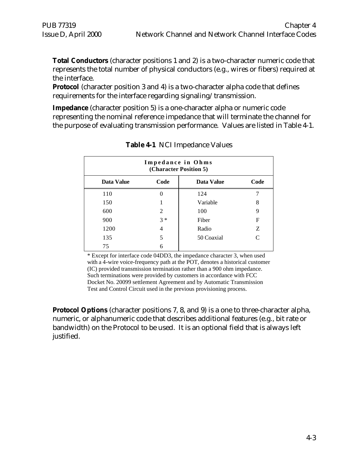**Total Conductors** (character positions 1 and 2) is a two-character numeric code that represents the total number of physical conductors (e.g., wires or fibers) required at the interface.

**Protocol** (character position 3 and 4) is a two-character alpha code that defines requirements for the interface regarding signaling/transmission.

**Impedance** (character position 5) is a one-character alpha or numeric code representing the nominal reference impedance that will terminate the channel for the purpose of evaluating transmission performance. Values are listed in Table 4-1.

| Impedance in Ohms<br>(Character Position 5) |       |                   |               |  |  |  |
|---------------------------------------------|-------|-------------------|---------------|--|--|--|
| Data Value                                  | Code  | <b>Data Value</b> | Code          |  |  |  |
| 110                                         | 0     | 124               |               |  |  |  |
| 150                                         |       | Variable          | 8             |  |  |  |
| 600                                         | 2     | 100               | 9             |  |  |  |
| 900                                         | $3 *$ | Fiber             | F             |  |  |  |
| 1200                                        | 4     | Radio             | Z             |  |  |  |
| 135                                         | 5     | 50 Coaxial        | $\mathcal{C}$ |  |  |  |
| 75                                          | 6     |                   |               |  |  |  |

**Table 4-1** NCI Impedance Values

\* Except for interface code 04DD3, the impedance character 3, when used with a 4-wire voice-frequency path at the POT, denotes a historical customer (IC) provided transmission termination rather than a 900 ohm impedance. Such terminations were provided by customers in accordance with FCC Docket No. 20099 settlement Agreement and by Automatic Transmission Test and Control Circuit used in the previous provisioning process.

**Protocol Options** (character positions 7, 8, and 9) is a one to three-character alpha, numeric, or alphanumeric code that describes additional features (e.g., bit rate or bandwidth) on the Protocol to be used. It is an optional field that is always left justified.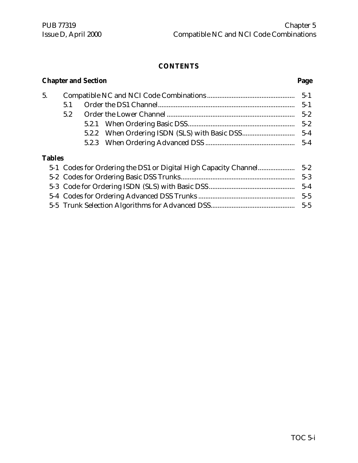# **Chapter and Section............................................................................................................Page** 5. Compatible NC and NCI Code Combinations .................................................. 5-1 5.1 Order the DS1 Channel.............................................................................. 5-1 5.2 Order the Lower Channel ......................................................................... 5-2 5.2.1 When Ordering Basic DSS............................................................. 5-2 5.2.2 When Ordering ISDN (SLS) with Basic DSS.............................. 5-4 5.2.3 When Ordering Advanced DSS ................................................... 5-4 **Tables**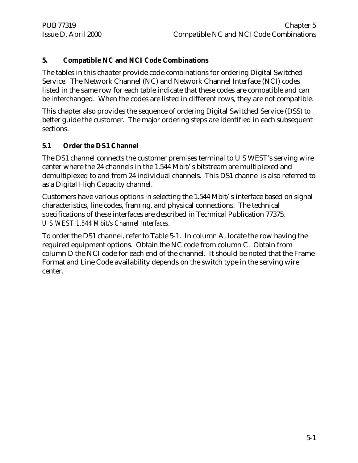# **5. Compatible NC and NCI Code Combinations**

The tables in this chapter provide code combinations for ordering Digital Switched Service. The Network Channel (NC) and Network Channel Interface (NCI) codes listed in the same row for each table indicate that these codes are compatible and can be interchanged. When the codes are listed in different rows, they are not compatible.

This chapter also provides the sequence of ordering Digital Switched Service (DSS) to better guide the customer. The major ordering steps are identified in each subsequent sections.

# **5.1 Order the DS1 Channel**

The DS1 channel connects the customer premises terminal to U S WEST's serving wire center where the 24 channels in the 1.544 Mbit/s bitstream are multiplexed and demultiplexed to and from 24 individual channels. This DS1 channel is also referred to as a Digital High Capacity channel.

Customers have various options in selecting the 1.544 Mbit/s interface based on signal characteristics, line codes, framing, and physical connections. The technical specifications of these interfaces are described in Technical Publication 77375*, U S WEST 1.544 Mbit/s Channel Interfaces*.

To order the DS1 channel, refer to Table 5-1. In column A, locate the row having the required equipment options. Obtain the NC code from column C. Obtain from column D the NCI code for each end of the channel. It should be noted that the Frame Format and Line Code availability depends on the switch type in the serving wire center.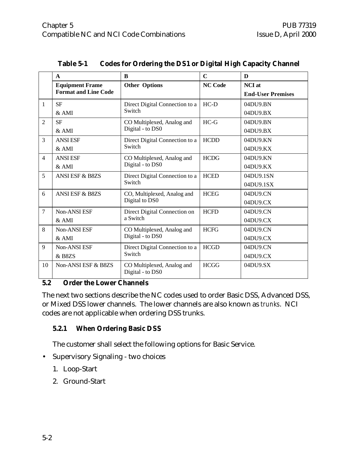|                | $\mathbf{A}$                | B                                              | $\mathbf C$    | D                        |
|----------------|-----------------------------|------------------------------------------------|----------------|--------------------------|
|                | <b>Equipment Frame</b>      | <b>Other Options</b>                           | <b>NC Code</b> | <b>NCI</b> at            |
|                | <b>Format and Line Code</b> |                                                |                | <b>End-User Premises</b> |
| 1              | <b>SF</b>                   | Direct Digital Connection to a                 | $HC-D$         | 04DU9.BN                 |
|                | &AMI                        | Switch                                         |                | 04DU9.BX                 |
| 2              | <b>SF</b>                   | CO Multiplexed, Analog and                     | $HC-G$         | 04DU9.BN                 |
|                | $&$ AMI                     | Digital - to DS0                               |                | 04DU9.BX                 |
| $\overline{3}$ | <b>ANSI ESF</b>             | Direct Digital Connection to a                 | <b>HCDD</b>    | 04DU9.KN                 |
|                | & AMI                       | Switch                                         |                | 04DU9.KX                 |
| $\overline{4}$ | <b>ANSI ESF</b>             | CO Multiplexed, Analog and                     | <b>HCDG</b>    | 04DU9.KN                 |
|                | & AMI                       | Digital - to DS0                               |                | 04DU9.KX                 |
| 5              | ANSI ESF & B8ZS             | Direct Digital Connection to a                 | <b>HCED</b>    | 04DU9.1SN                |
|                |                             | Switch                                         |                | 04DU9.1SX                |
| 6              | <b>ANSI ESF &amp; B8ZS</b>  | CO, Multiplexed, Analog and                    | <b>HCEG</b>    | 04DU9.CN                 |
|                |                             | Digital to DS0                                 |                | 04DU9.CX                 |
| $\overline{7}$ | <b>Non-ANSI ESF</b>         | Direct Digital Connection on                   | <b>HCFD</b>    | 04DU9.CN                 |
|                | $&$ AMI                     | a Switch                                       |                | 04DU9.CX                 |
| 8              | Non-ANSI ESF                | CO Multiplexed, Analog and                     | <b>HCFG</b>    | 04DU9.CN                 |
|                | $&$ AMI                     | Digital - to DS0                               |                | 04DU9.CX                 |
| 9              | Non-ANSI ESF                | Direct Digital Connection to a                 | <b>HCGD</b>    | 04DU9.CN                 |
|                | & B8ZS                      | Switch                                         |                | 04DU9.CX                 |
| 10             | Non-ANSI ESF & B8ZS         | CO Multiplexed, Analog and<br>Digital - to DS0 | <b>HCGG</b>    | 04DU9.SX                 |

# **5.2 Order the Lower Channels**

The next two sections describe the NC codes used to order Basic DSS, Advanced DSS, or Mixed DSS lower channels. The lower channels are also known as *trunks*. NCI codes are not applicable when ordering DSS trunks.

# **5.2.1 When Ordering Basic DSS**

The customer shall select the following options for Basic Service.

- Supervisory Signaling two choices
	- 1. Loop-Start
	- 2. Ground-Start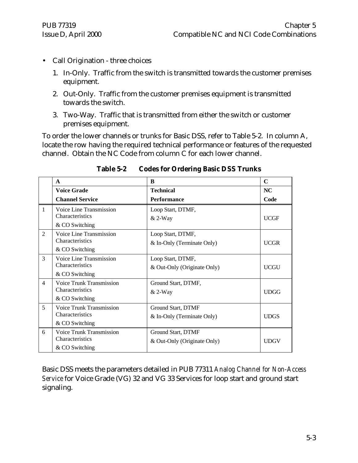- Call Origination three choices
	- 1. In-Only. Traffic from the switch is transmitted towards the customer premises equipment.
	- 2. Out-Only. Traffic from the customer premises equipment is transmitted towards the switch.
	- 3. Two-Way. Traffic that is transmitted from either the switch or customer premises equipment.

To order the lower channels or trunks for Basic DSS, refer to Table 5-2. In column A, locate the row having the required technical performance or features of the requested channel. Obtain the NC Code from column C for each lower channel.

|                | $\mathbf{A}$                                                         | B                                                 | $\mathbf C$ |
|----------------|----------------------------------------------------------------------|---------------------------------------------------|-------------|
|                | <b>Voice Grade</b>                                                   | <b>Technical</b>                                  | NC.         |
|                | <b>Channel Service</b>                                               | Performance                                       | Code        |
| $\mathbf{1}$   | Voice Line Transmission<br><b>Characteristics</b><br>& CO Switching  | Loop Start, DTMF,<br>$& 2-Way$                    | <b>UCGF</b> |
| $\overline{2}$ | Voice Line Transmission<br>Characteristics<br>& CO Switching         | Loop Start, DTMF,<br>& In-Only (Terminate Only)   | <b>UCGR</b> |
| 3              | Voice Line Transmission<br>Characteristics<br>& CO Switching         | Loop Start, DTMF,<br>& Out-Only (Originate Only)  | <b>UCGU</b> |
| $\overline{4}$ | Voice Trunk Transmission<br><b>Characteristics</b><br>& CO Switching | Ground Start, DTMF,<br>$& 2-Way$                  | <b>UDGG</b> |
| 5              | Voice Trunk Transmission<br>Characteristics<br>& CO Switching        | Ground Start, DTMF<br>& In-Only (Terminate Only)  | <b>UDGS</b> |
| 6              | <b>Voice Trunk Transmission</b><br>Characteristics<br>& CO Switching | Ground Start, DTMF<br>& Out-Only (Originate Only) | <b>UDGV</b> |

**Table 5-2 Codes for Ordering Basic DSS Trunks**

Basic DSS meets the parameters detailed in PUB 77311 *Analog Channel for Non-Access Service* for Voice Grade (VG) 32 and VG 33 Services for loop start and ground start signaling.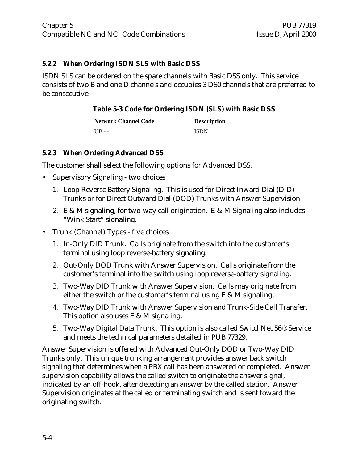# **5.2.2 When Ordering ISDN SLS with Basic DSS**

ISDN SLS can be ordered on the spare channels with Basic DSS only. This service consists of two B and one D channels and occupies 3 DS0 channels that are preferred to be consecutive.

# **Table 5-3 Code for Ordering ISDN (SLS) with Basic DSS**

| Network Channel Code | <b>Description</b> |
|----------------------|--------------------|
|                      | ISDN               |

# **5.2.3 When Ordering Advanced DSS**

The customer shall select the following options for Advanced DSS.

- Supervisory Signaling two choices
	- 1. Loop Reverse Battery Signaling. This is used for Direct Inward Dial (DID) Trunks or for Direct Outward Dial (DOD) Trunks with Answer Supervision
	- 2. E & M signaling, for two-way call origination. E & M Signaling also includes "Wink Start" signaling.
- Trunk (Channel) Types five choices
	- 1. In-Only DID Trunk. Calls originate from the switch into the customer's terminal using loop reverse-battery signaling.
	- 2. Out-Only DOD Trunk with Answer Supervision. Calls originate from the customer's terminal into the switch using loop reverse-battery signaling.
	- 3. Two-Way DID Trunk with Answer Supervision. Calls may originate from either the switch or the customer's terminal using  $E \& M$  signaling.
	- 4. Two-Way DID Trunk with Answer Supervision and Trunk-Side Call Transfer. This option also uses E & M signaling.
	- 5. Two-Way Digital Data Trunk. This option is also called SwitchNet 56® Service and meets the technical parameters detailed in PUB 77329.

Answer Supervision is offered with Advanced Out-Only DOD or Two-Way DID Trunks only. This unique trunking arrangement provides answer back switch signaling that determines when a PBX call has been answered or completed. Answer supervision capability allows the called switch to originate the answer signal, indicated by an off-hook, after detecting an answer by the called station. Answer Supervision originates at the called or terminating switch and is sent toward the originating switch.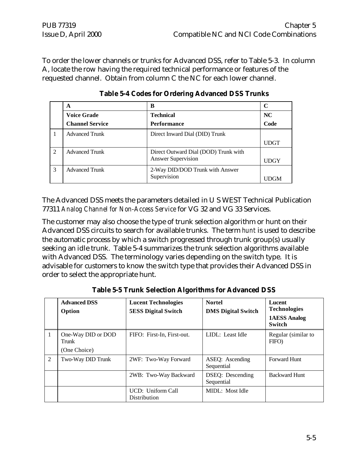To order the lower channels or trunks for Advanced DSS, refer to Table 5-3. In column A, locate the row having the required technical performance or features of the requested channel. Obtain from column C the NC for each lower channel.

|                | A                      | в                                    |             |
|----------------|------------------------|--------------------------------------|-------------|
|                | <b>Voice Grade</b>     | <b>Technical</b>                     | NC          |
|                | <b>Channel Service</b> | <b>Performance</b>                   | Code        |
|                | <b>Advanced Trunk</b>  | Direct Inward Dial (DID) Trunk       |             |
|                |                        |                                      | <b>UDGT</b> |
| $\mathfrak{D}$ | <b>Advanced Trunk</b>  | Direct Outward Dial (DOD) Trunk with |             |
|                |                        | <b>Answer Supervision</b>            | <b>UDGY</b> |
| 3              | <b>Advanced Trunk</b>  | 2-Way DID/DOD Trunk with Answer      |             |
|                |                        | Supervision                          |             |

**Table 5-4 Codes for Ordering Advanced DSS Trunks**

The Advanced DSS meets the parameters detailed in U S WEST Technical Publication 77311 *Analog Channel for Non-Access Service* for VG 32 and VG 33 Services.

The customer may also choose the type of trunk selection algorithm or hunt on their Advanced DSS circuits to search for available trunks. The term *hunt* is used to describe the automatic process by which a switch progressed through trunk group(s) usually seeking an idle trunk. Table 5-4 summarizes the trunk selection algorithms available with Advanced DSS. The terminology varies depending on the switch type. It is advisable for customers to know the switch type that provides their Advanced DSS in order to select the appropriate hunt.

|   | <b>Advanced DSS</b><br>Option               | <b>Lucent Technologies</b><br><b>5ESS Digital Switch</b> | <b>Nortel</b><br><b>DMS Digital Switch</b> | Lucent<br><b>Technologies</b><br><b>1AESS Analog</b><br><b>Switch</b> |
|---|---------------------------------------------|----------------------------------------------------------|--------------------------------------------|-----------------------------------------------------------------------|
|   | One-Way DID or DOD<br>Trunk<br>(One Choice) | FIFO: First-In, First-out.                               | LIDL: Least Idle                           | Regular (similar to<br>FIFO)                                          |
| 2 | Two-Way DID Trunk                           | 2WF: Two-Way Forward                                     | ASEQ: Ascending<br>Sequential              | <b>Forward Hunt</b>                                                   |
|   |                                             | 2WB: Two-Way Backward                                    | DSEQ: Descending<br>Sequential             | <b>Backward Hunt</b>                                                  |
|   |                                             | UCD: Uniform Call<br><b>Distribution</b>                 | MIDL: Most Idle                            |                                                                       |

**Table 5-5 Trunk Selection Algorithms for Advanced DSS**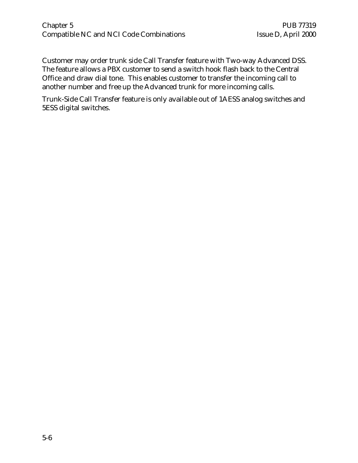# Chapter 5 PUB 77319 Compatible NC and NCI Code Combinations Issue D, April 2000

Customer may order trunk side Call Transfer feature with Two-way Advanced DSS. The feature allows a PBX customer to send a switch hook flash back to the Central Office and draw dial tone. This enables customer to transfer the incoming call to another number and free up the Advanced trunk for more incoming calls.

Trunk-Side Call Transfer feature is only available out of 1AESS analog switches and 5ESS digital switches.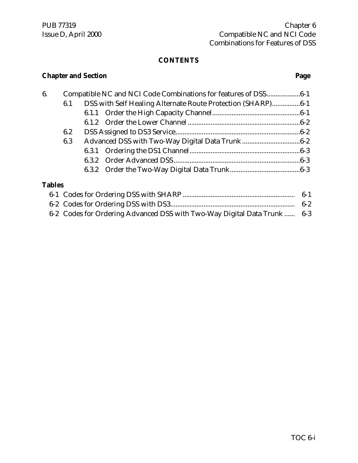# **Chapter and Section Page**

| 6.            |                                                                    |  | Compatible NC and NCI Code Combinations for features of DSS6-1 |  |
|---------------|--------------------------------------------------------------------|--|----------------------------------------------------------------|--|
|               | DSS with Self Healing Alternate Route Protection (SHARP)6-1<br>6.1 |  |                                                                |  |
|               |                                                                    |  |                                                                |  |
|               |                                                                    |  |                                                                |  |
|               | 6.2                                                                |  |                                                                |  |
|               | 6.3                                                                |  |                                                                |  |
|               |                                                                    |  |                                                                |  |
|               |                                                                    |  |                                                                |  |
|               |                                                                    |  |                                                                |  |
| <b>Tables</b> |                                                                    |  |                                                                |  |
|               |                                                                    |  |                                                                |  |

| 6-2 Codes for Ordering Advanced DSS with Two-Way Digital Data Trunk  6-3 |  |
|--------------------------------------------------------------------------|--|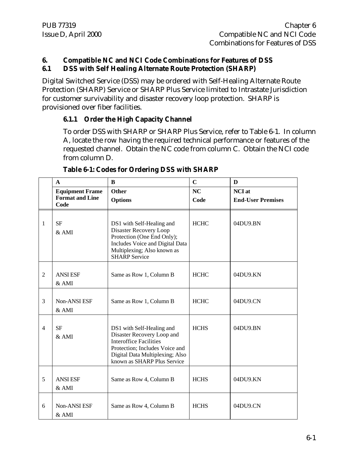#### **6. Compatible NC and NCI Code Combinations for Features of DSS 6.1 DSS with Self Healing Alternate Route Protection (SHARP)**

Digital Switched Service (DSS) may be ordered with Self-Healing Alternate Route Protection (SHARP) Service or SHARP Plus Service limited to Intrastate Jurisdiction for customer survivability and disaster recovery loop protection. SHARP is provisioned over fiber facilities.

# **6.1.1 Order the High Capacity Channel**

To order DSS with SHARP or SHARP Plus Service, refer to Table 6-1. In column A, locate the row having the required technical performance or features of the requested channel. Obtain the NC code from column C. Obtain the NCI code from column D.

|                | $\mathbf{A}$                   | B                                                                                                                                                                                            | $\mathbf C$ | D                        |
|----------------|--------------------------------|----------------------------------------------------------------------------------------------------------------------------------------------------------------------------------------------|-------------|--------------------------|
|                | <b>Equipment Frame</b>         | Other                                                                                                                                                                                        | NC          | <b>NCI</b> at            |
|                | <b>Format and Line</b><br>Code | <b>Options</b>                                                                                                                                                                               | Code        | <b>End-User Premises</b> |
| 1              | <b>SF</b><br>$&$ AMI           | DS1 with Self-Healing and<br>Disaster Recovery Loop<br>Protection (One End Only);<br>Includes Voice and Digital Data<br>Multiplexing; Also known as<br><b>SHARP Service</b>                  | <b>HCHC</b> | 04DU9.BN                 |
| 2              | <b>ANSI ESF</b><br>$&$ AMI     | Same as Row 1, Column B                                                                                                                                                                      | <b>HCHC</b> | 04DU9.KN                 |
| 3              | <b>Non-ANSI ESF</b><br>$&$ AMI | Same as Row 1, Column B                                                                                                                                                                      | <b>HCHC</b> | 04DU9.CN                 |
| $\overline{4}$ | <b>SF</b><br>& AMI             | DS1 with Self-Healing and<br>Disaster Recovery Loop and<br><b>Interoffice Facilities</b><br>Protection; Includes Voice and<br>Digital Data Multiplexing; Also<br>known as SHARP Plus Service | <b>HCHS</b> | 04DU9.BN                 |
| 5              | <b>ANSI ESF</b><br>$&$ AMI     | Same as Row 4, Column B                                                                                                                                                                      | <b>HCHS</b> | 04DU9.KN                 |
| 6              | Non-ANSI ESF<br>& AMI          | Same as Row 4, Column B                                                                                                                                                                      | <b>HCHS</b> | 04DU9.CN                 |

# **Table 6-1: Codes for Ordering DSS with SHARP**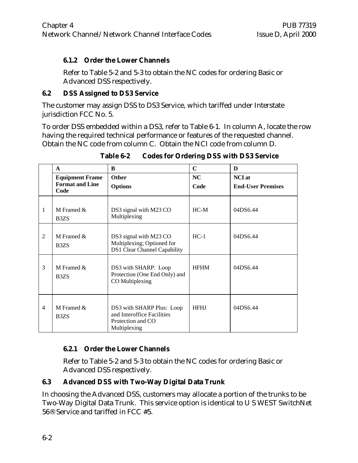# **6.1.2 Order the Lower Channels**

Refer to Table 5-2 and 5-3 to obtain the NC codes for ordering Basic or Advanced DSS respectively.

#### **6.2 DSS Assigned to DS3 Service**

The customer may assign DSS to DS3 Service, which tariffed under Interstate jurisdiction FCC No. 5.

To order DSS embedded within a DS3, refer to Table 6-1. In column A, locate the row having the required technical performance or features of the requested channel. Obtain the NC code from column C. Obtain the NCI code from column D.

|                | $\mathbf{A}$                                     | B                                                                                            | $\mathbf C$ | D                        |
|----------------|--------------------------------------------------|----------------------------------------------------------------------------------------------|-------------|--------------------------|
|                | <b>Equipment Frame</b><br><b>Format and Line</b> | <b>Other</b>                                                                                 | <b>NC</b>   | <b>NCI</b> at            |
|                | Code                                             | <b>Options</b>                                                                               | Code        | <b>End-User Premises</b> |
| 1              | M Framed &<br>B <sub>3</sub> Z <sub>S</sub>      | DS3 signal with M23 CO<br>Multiplexing                                                       | $HC-M$      | 04DS6.44                 |
| $\mathfrak{D}$ | M Framed $\&$<br>B <sub>3</sub> Z <sub>S</sub>   | DS3 signal with M23 CO<br>Multiplexing; Optioned for<br><b>DS1 Clear Channel Capability</b>  | $HC-1$      | 04DS6.44                 |
| 3              | M Framed $\&$<br>B <sub>3</sub> Z <sub>S</sub>   | DS3 with SHARP: Loop<br>Protection (One End Only) and<br>CO Multiplexing                     | <b>HFHM</b> | 04DS6.44                 |
| 4              | M Framed &<br>B <sub>3</sub> Z <sub>S</sub>      | DS3 with SHARP Plus: Loop<br>and Interoffice Facilities<br>Protection and CO<br>Multiplexing | <b>HFHJ</b> | 04DS6.44                 |

**Table 6-2 Codes for Ordering DSS with DS3 Service**

# **6.2.1 Order the Lower Channels**

Refer to Table 5-2 and 5-3 to obtain the NC codes for ordering Basic or Advanced DSS respectively.

# **6.3 Advanced DSS with Two-Way Digital Data Trunk**

In choosing the Advanced DSS, customers may allocate a portion of the trunks to be Two-Way Digital Data Trunk. This service option is identical to U S WEST SwitchNet 56® Service and tariffed in FCC #5.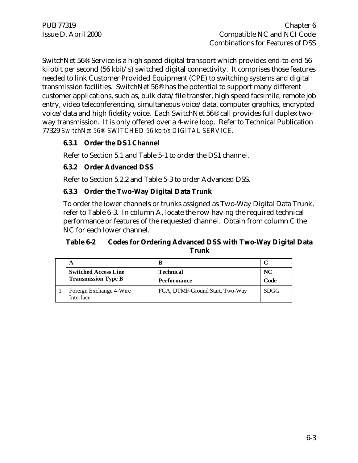SwitchNet 56® Service is a high speed digital transport which provides end-to-end 56 kilobit per second (56 kbit/s) switched digital connectivity. It comprises those features needed to link Customer Provided Equipment (CPE) to switching systems and digital transmission facilities. SwitchNet 56® has the potential to support many different customer applications, such as, bulk data/file transfer, high speed facsimile, remote job entry, video teleconferencing, simultaneous voice/data, computer graphics, encrypted voice/data and high fidelity voice. Each SwitchNet 56® call provides full duplex twoway transmission. It is only offered over a 4-wire loop. Refer to Technical Publication 77329 *SwitchNet 56® SWITCHED 56 kbit/s DIGITAL SERVICE.*

# **6.3.1 Order the DS1 Channel**

Refer to Section 5.1 and Table 5-1 to order the DS1 channel.

# **6.3.2 Order Advanced DSS**

Refer to Section 5.2.2 and Table 5-3 to order Advanced DSS.

# **6.3.3 Order the Two-Way Digital Data Trunk**

To order the lower channels or trunks assigned as Two-Way Digital Data Trunk, refer to Table 6-3. In column A, locate the row having the required technical performance or features of the requested channel. Obtain from column C the NC for each lower channel.

# **Table 6-2 Codes for Ordering Advanced DSS with Two-Way Digital Data Trunk**

| A                                    | B                               |             |
|--------------------------------------|---------------------------------|-------------|
| <b>Switched Access Line</b>          | <b>Technical</b>                | NC.         |
| <b>Transmission Type B</b>           | <b>Performance</b>              | Code        |
| Foreign Exchange 4-Wire<br>Interface | FGA, DTMF-Ground Start, Two-Way | <b>SDGG</b> |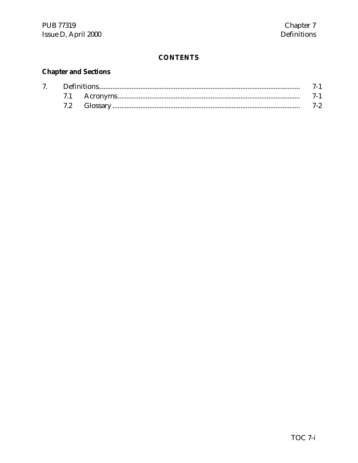# **Chapter and Sections**

| $7\degree$ |  |  |  |
|------------|--|--|--|
|            |  |  |  |
|            |  |  |  |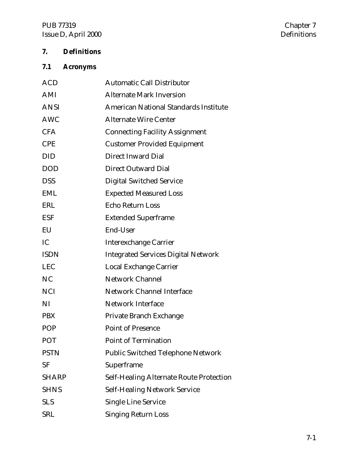# PUB 77319 Chapter 7<br>Issue D, April 2000 Chapter 7 Issue D, April 2000

# **7. Definitions**

# **7.1 Acronyms**

| <b>ACD</b>   | <b>Automatic Call Distributor</b>              |
|--------------|------------------------------------------------|
| AMI          | <b>Alternate Mark Inversion</b>                |
| <b>ANSI</b>  | <b>American National Standards Institute</b>   |
| <b>AWC</b>   | <b>Alternate Wire Center</b>                   |
| <b>CFA</b>   | <b>Connecting Facility Assignment</b>          |
| <b>CPE</b>   | <b>Customer Provided Equipment</b>             |
| <b>DID</b>   | <b>Direct Inward Dial</b>                      |
| <b>DOD</b>   | <b>Direct Outward Dial</b>                     |
| <b>DSS</b>   | <b>Digital Switched Service</b>                |
| <b>EML</b>   | <b>Expected Measured Loss</b>                  |
| <b>ERL</b>   | <b>Echo Return Loss</b>                        |
| <b>ESF</b>   | <b>Extended Superframe</b>                     |
| EU           | End-User                                       |
| IC           | <b>Interexchange Carrier</b>                   |
| <b>ISDN</b>  | <b>Integrated Services Digital Network</b>     |
| <b>LEC</b>   | Local Exchange Carrier                         |
| <b>NC</b>    | <b>Network Channel</b>                         |
| <b>NCI</b>   | <b>Network Channel Interface</b>               |
| <b>NI</b>    | <b>Network Interface</b>                       |
| <b>PBX</b>   | Private Branch Exchange                        |
| <b>POP</b>   | <b>Point of Presence</b>                       |
| <b>POT</b>   | <b>Point of Termination</b>                    |
| <b>PSTN</b>  | <b>Public Switched Telephone Network</b>       |
| <b>SF</b>    | Superframe                                     |
| <b>SHARP</b> | <b>Self-Healing Alternate Route Protection</b> |
| <b>SHNS</b>  | <b>Self-Healing Network Service</b>            |
| <b>SLS</b>   | <b>Single Line Service</b>                     |
| SRL          | <b>Singing Return Loss</b>                     |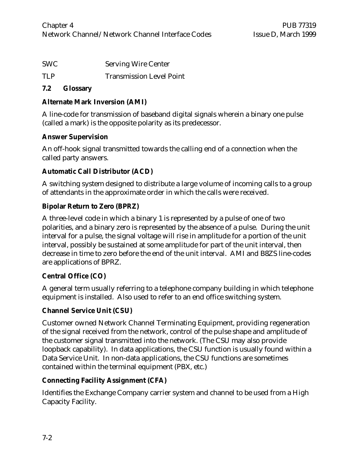| SWC | <b>Serving Wire Center</b>      |
|-----|---------------------------------|
| TLP | <b>Transmission Level Point</b> |

#### **7.2 Glossary**

# **Alternate Mark Inversion (AMI)**

A line-code for transmission of baseband digital signals wherein a binary one pulse (called a mark) is the opposite polarity as its predecessor.

# **Answer Supervision**

An off-hook signal transmitted towards the calling end of a connection when the called party answers.

# **Automatic Call Distributor (ACD)**

A switching system designed to distribute a large volume of incoming calls to a group of attendants in the approximate order in which the calls were received.

# **Bipolar Return to Zero (BPRZ)**

A three-level code in which a binary 1 is represented by a pulse of one of two polarities, and a binary zero is represented by the absence of a pulse. During the unit interval for a pulse, the signal voltage will rise in amplitude for a portion of the unit interval, possibly be sustained at some amplitude for part of the unit interval, then decrease in time to zero before the end of the unit interval. AMI and B8ZS line-codes are applications of BPRZ.

# **Central Office (CO)**

A general term usually referring to a telephone company building in which telephone equipment is installed. Also used to refer to an end office switching system.

# **Channel Service Unit (CSU)**

Customer owned Network Channel Terminating Equipment, providing regeneration of the signal received from the network, control of the pulse shape and amplitude of the customer signal transmitted into the network. (The CSU may also provide loopback capability). In data applications, the CSU function is usually found within a Data Service Unit. In non-data applications, the CSU functions are sometimes contained within the terminal equipment (PBX, etc.)

# **Connecting Facility Assignment (CFA)**

Identifies the Exchange Company carrier system and channel to be used from a High Capacity Facility.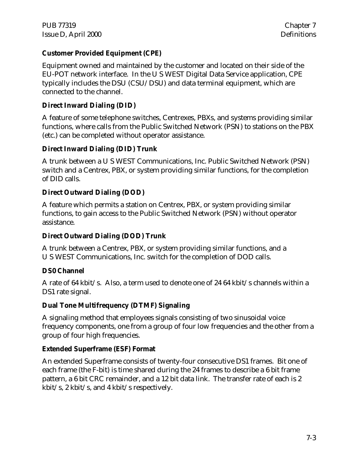# **Customer Provided Equipment (CPE)**

Equipment owned and maintained by the customer and located on their side of the EU-POT network interface. In the U S WEST Digital Data Service application, CPE typically includes the DSU (CSU/DSU) and data terminal equipment, which are connected to the channel.

# **Direct Inward Dialing (DID)**

A feature of some telephone switches, Centrexes, PBXs, and systems providing similar functions, where calls from the Public Switched Network (PSN) to stations on the PBX (etc.) can be completed without operator assistance.

# **Direct Inward Dialing (DID) Trunk**

A trunk between a U S WEST Communications, Inc. Public Switched Network (PSN) switch and a Centrex, PBX, or system providing similar functions, for the completion of DID calls.

# **Direct Outward Dialing (DOD)**

A feature which permits a station on Centrex, PBX, or system providing similar functions, to gain access to the Public Switched Network (PSN) without operator assistance.

# **Direct Outward Dialing (DOD) Trunk**

A trunk between a Centrex, PBX, or system providing similar functions, and a U S WEST Communications, Inc. switch for the completion of DOD calls.

# **DS0 Channel**

A rate of 64 kbit/s. Also, a term used to denote one of 24 64 kbit/s channels within a DS1 rate signal.

# **Dual Tone Multifrequency (DTMF) Signaling**

A signaling method that employees signals consisting of two sinusoidal voice frequency components, one from a group of four low frequencies and the other from a group of four high frequencies.

# **Extended Superframe (ESF) Format**

An extended Superframe consists of twenty-four consecutive DS1 frames. Bit one of each frame (the F-bit) is time shared during the 24 frames to describe a 6 bit frame pattern, a 6 bit CRC remainder, and a 12 bit data link. The transfer rate of each is 2 kbit/s, 2 kbit/s, and 4 kbit/s respectively.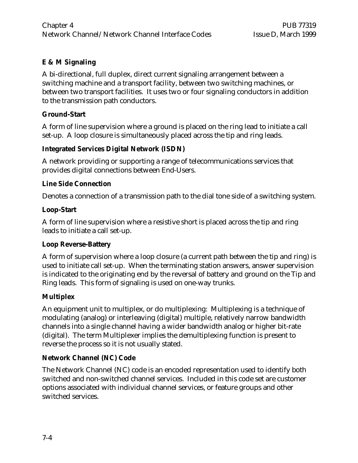# **E & M Signaling**

A bi-directional, full duplex, direct current signaling arrangement between a switching machine and a transport facility, between two switching machines, or between two transport facilities. It uses two or four signaling conductors in addition to the transmission path conductors.

# **Ground-Start**

A form of line supervision where a ground is placed on the ring lead to initiate a call set-up. A loop closure is simultaneously placed across the tip and ring leads.

# **Integrated Services Digital Network (ISDN)**

A network providing or supporting a range of telecommunications services that provides digital connections between End-Users.

# **Line Side Connection**

Denotes a connection of a transmission path to the dial tone side of a switching system.

# **Loop-Start**

A form of line supervision where a resistive short is placed across the tip and ring leads to initiate a call set-up.

# **Loop Reverse-Battery**

A form of supervision where a loop closure (a current path between the tip and ring) is used to initiate call set-up. When the terminating station answers, answer supervision is indicated to the originating end by the reversal of battery and ground on the Tip and Ring leads. This form of signaling is used on one-way trunks.

# **Multiplex**

An equipment unit to multiplex, or do multiplexing: Multiplexing is a technique of modulating (analog) or interleaving (digital) multiple, relatively narrow bandwidth channels into a single channel having a wider bandwidth analog or higher bit-rate (digital). The term Multiplexer implies the demultiplexing function is present to reverse the process so it is not usually stated.

# **Network Channel (NC) Code**

The Network Channel (NC) code is an encoded representation used to identify both switched and non-switched channel services. Included in this code set are customer options associated with individual channel services, or feature groups and other switched services.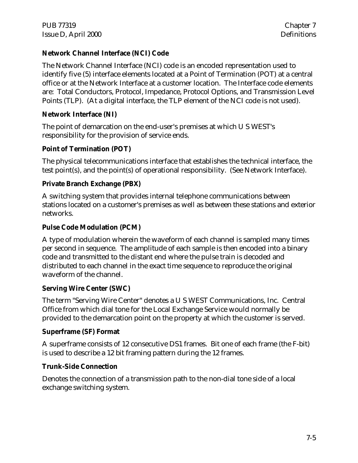# **Network Channel Interface (NCI) Code**

The Network Channel Interface (NCI) code is an encoded representation used to identify five (5) interface elements located at a Point of Termination (POT) at a central office or at the Network Interface at a customer location. The Interface code elements are: Total Conductors, Protocol, Impedance, Protocol Options, and Transmission Level Points (TLP). (At a digital interface, the TLP element of the NCI code is not used).

# **Network Interface (NI)**

The point of demarcation on the end-user's premises at which U S WEST's responsibility for the provision of service ends.

# **Point of Termination (POT)**

The physical telecommunications interface that establishes the technical interface, the test point(s), and the point(s) of operational responsibility. (See Network Interface).

# **Private Branch Exchange (PBX)**

A switching system that provides internal telephone communications between stations located on a customer's premises as well as between these stations and exterior networks.

# **Pulse Code Modulation (PCM)**

A type of modulation wherein the waveform of each channel is sampled many times per second in sequence. The amplitude of each sample is then encoded into a binary code and transmitted to the distant end where the pulse train is decoded and distributed to each channel in the exact time sequence to reproduce the original waveform of the channel.

# **Serving Wire Center (SWC)**

The term "Serving Wire Center" denotes a U S WEST Communications, Inc. Central Office from which dial tone for the Local Exchange Service would normally be provided to the demarcation point on the property at which the customer is served.

# **Superframe (SF) Format**

A superframe consists of 12 consecutive DS1 frames. Bit one of each frame (the F-bit) is used to describe a 12 bit framing pattern during the 12 frames.

# **Trunk-Side Connection**

Denotes the connection of a transmission path to the non-dial tone side of a local exchange switching system.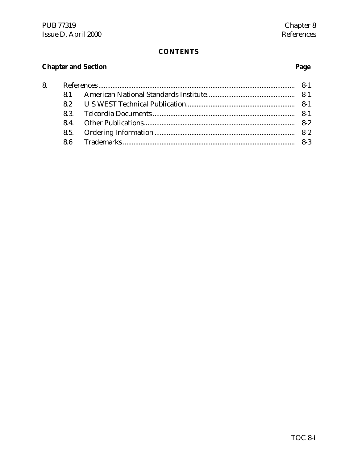# **Chapter and Section**

# Page

| 8. |  |  |
|----|--|--|
|    |  |  |
|    |  |  |
|    |  |  |
|    |  |  |
|    |  |  |
|    |  |  |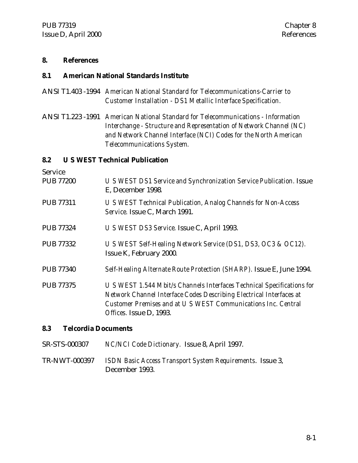#### **8. References**

#### **8.1 American National Standards Institute**

- ANSI T1.403 -1994 *American National Standard for Telecommunications-Carrier to Customer Installation - DS1 Metallic Interface Specification.*
- ANSI T1.223 -1991 *American National Standard for Telecommunications Information Interchange - Structure and Representation of Network Channel (NC) and Network Channel Interface (NCI) Codes for the North American Telecommunications System.*

**8.2 U S WEST Technical Publication** Service PUB 77200 *U S WEST DS1 Service and Synchronization Service Publication.* Issue E, December 1998*.* PUB 77311 *U S WEST Technical Publication, Analog Channels for Non-Access Service.* Issue C, March 1991. PUB 77324 *U S WEST DS3 Service.* Issue C, April 1993. PUB 77332 *U S WEST Self-Healing Network Service (DS1, DS3, OC3 & OC12).* Issue K, February 2000*.* PUB 77340 *Self-Healing Alternate Route Protection (SHARP).* Issue E, June 1994. PUB 77375 *U S WEST 1.544 Mbit/s Channels Interfaces Technical Specifications for Network Channel Interface Codes Describing Electrical Interfaces at Customer Premises and at U S WEST Communications Inc. Central Offices.* Issue D, 1993. **8.3 Telcordia Documents** SR-STS-000307 *NC/NCI Code Dictionary.* Issue 8, April 1997.

TR-NWT-000397 *ISDN Basic Access Transport System Requirements*. Issue 3, December 1993.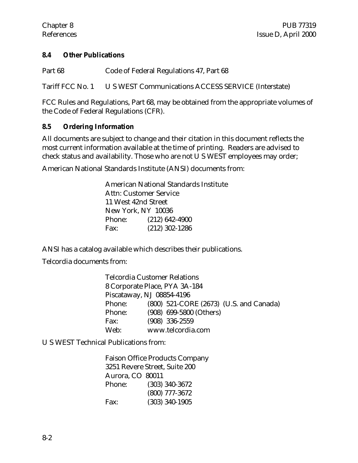#### **8.4 Other Publications**

Part 68 Code of Federal Regulations 47, Part 68

Tariff FCC No. 1 U S WEST Communications ACCESS SERVICE (Interstate)

FCC Rules and Regulations, Part 68, may be obtained from the appropriate volumes of the Code of Federal Regulations (CFR).

#### **8.5 Ordering Information**

All documents are subject to change and their citation in this document reflects the most current information available at the time of printing. Readers are advised to check status and availability. Those who are not U S WEST employees may order;

American National Standards Institute (ANSI) documents from:

American National Standards Institute Attn: Customer Service 11 West 42nd Street New York, NY 10036 Phone: (212) 642-4900 Fax: (212) 302-1286

ANSI has a catalog available which describes their publications.

Telcordia documents from:

| Telcordia Customer Relations |                               |                         |                                         |  |  |
|------------------------------|-------------------------------|-------------------------|-----------------------------------------|--|--|
|                              | 8 Corporate Place, PYA 3A-184 |                         |                                         |  |  |
| Piscataway, NJ 08854-4196    |                               |                         |                                         |  |  |
| Phone:                       |                               |                         | (800) 521-CORE (2673) (U.S. and Canada) |  |  |
| Phone:                       |                               | (908) 699-5800 (Others) |                                         |  |  |
| Fax:                         |                               | $(908)$ 336-2559        |                                         |  |  |
| Web:                         |                               | www.telcordia.com       |                                         |  |  |

U S WEST Technical Publications from:

Faison Office Products Company 3251 Revere Street, Suite 200 Aurora, CO 80011 Phone: (303) 340-3672 (800) 777-3672 Fax: (303) 340-1905